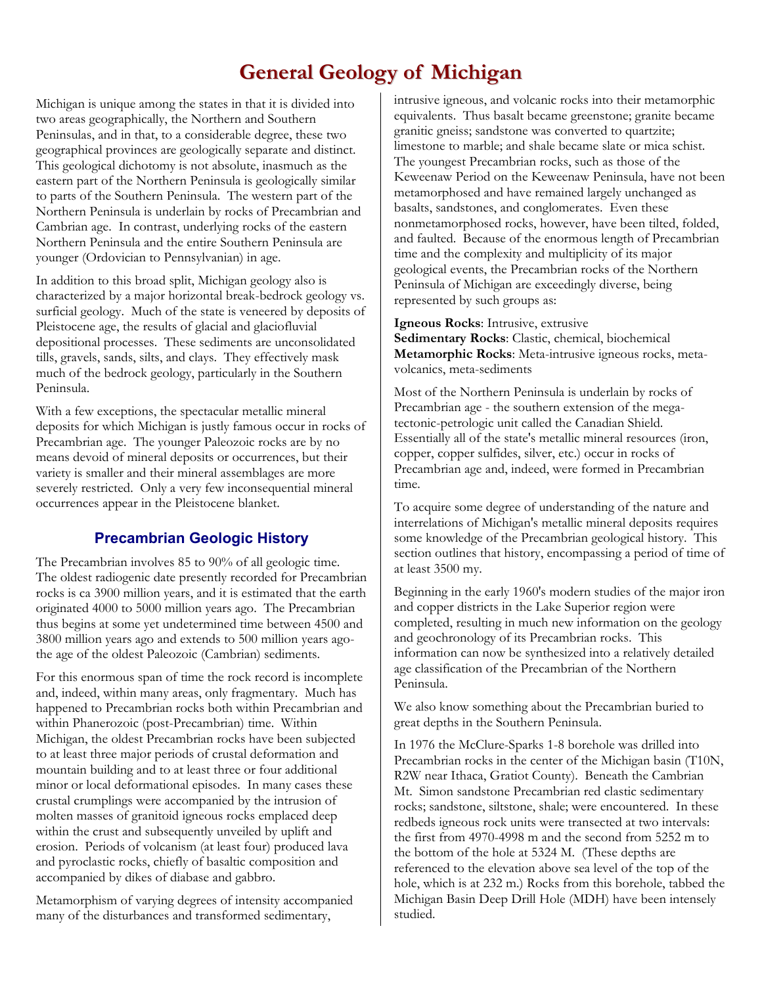## **General Geology of Michigan**

Michigan is unique among the states in that it is divided into two areas geographically, the Northern and Southern Peninsulas, and in that, to a considerable degree, these two geographical provinces are geologically separate and distinct. This geological dichotomy is not absolute, inasmuch as the eastern part of the Northern Peninsula is geologically similar to parts of the Southern Peninsula. The western part of the Northern Peninsula is underlain by rocks of Precambrian and Cambrian age. In contrast, underlying rocks of the eastern Northern Peninsula and the entire Southern Peninsula are younger (Ordovician to Pennsylvanian) in age.

In addition to this broad split, Michigan geology also is characterized by a major horizontal break-bedrock geology vs. surficial geology. Much of the state is veneered by deposits of Pleistocene age, the results of glacial and glaciofluvial depositional processes. These sediments are unconsolidated tills, gravels, sands, silts, and clays. They effectively mask much of the bedrock geology, particularly in the Southern Peninsula.

With a few exceptions, the spectacular metallic mineral deposits for which Michigan is justly famous occur in rocks of Precambrian age. The younger Paleozoic rocks are by no means devoid of mineral deposits or occurrences, but their variety is smaller and their mineral assemblages are more severely restricted. Only a very few inconsequential mineral occurrences appear in the Pleistocene blanket.

## **Precambrian Geologic History**

The Precambrian involves 85 to 90% of all geologic time. The oldest radiogenic date presently recorded for Precambrian rocks is ca 3900 million years, and it is estimated that the earth originated 4000 to 5000 million years ago. The Precambrian thus begins at some yet undetermined time between 4500 and 3800 million years ago and extends to 500 million years agothe age of the oldest Paleozoic (Cambrian) sediments.

For this enormous span of time the rock record is incomplete and, indeed, within many areas, only fragmentary. Much has happened to Precambrian rocks both within Precambrian and within Phanerozoic (post-Precambrian) time. Within Michigan, the oldest Precambrian rocks have been subjected to at least three major periods of crustal deformation and mountain building and to at least three or four additional minor or local deformational episodes. In many cases these crustal crumplings were accompanied by the intrusion of molten masses of granitoid igneous rocks emplaced deep within the crust and subsequently unveiled by uplift and erosion. Periods of volcanism (at least four) produced lava and pyroclastic rocks, chiefly of basaltic composition and accompanied by dikes of diabase and gabbro.

Metamorphism of varying degrees of intensity accompanied many of the disturbances and transformed sedimentary,

intrusive igneous, and volcanic rocks into their metamorphic equivalents. Thus basalt became greenstone; granite became granitic gneiss; sandstone was converted to quartzite; limestone to marble; and shale became slate or mica schist. The youngest Precambrian rocks, such as those of the Keweenaw Period on the Keweenaw Peninsula, have not been metamorphosed and have remained largely unchanged as basalts, sandstones, and conglomerates. Even these nonmetamorphosed rocks, however, have been tilted, folded, and faulted. Because of the enormous length of Precambrian time and the complexity and multiplicity of its major geological events, the Precambrian rocks of the Northern Peninsula of Michigan are exceedingly diverse, being represented by such groups as:

**Igneous Rocks**: Intrusive, extrusive **Sedimentary Rocks**: Clastic, chemical, biochemical **Metamorphic Rocks**: Meta-intrusive igneous rocks, metavolcanics, meta-sediments

Most of the Northern Peninsula is underlain by rocks of Precambrian age - the southern extension of the megatectonic-petrologic unit called the Canadian Shield. Essentially all of the state's metallic mineral resources (iron, copper, copper sulfides, silver, etc.) occur in rocks of Precambrian age and, indeed, were formed in Precambrian time.

To acquire some degree of understanding of the nature and interrelations of Michigan's metallic mineral deposits requires some knowledge of the Precambrian geological history. This section outlines that history, encompassing a period of time of at least 3500 my.

Beginning in the early 1960's modern studies of the major iron and copper districts in the Lake Superior region were completed, resulting in much new information on the geology and geochronology of its Precambrian rocks. This information can now be synthesized into a relatively detailed age classification of the Precambrian of the Northern Peninsula.

We also know something about the Precambrian buried to great depths in the Southern Peninsula.

In 1976 the McClure-Sparks 1-8 borehole was drilled into Precambrian rocks in the center of the Michigan basin (T10N, R2W near Ithaca, Gratiot County). Beneath the Cambrian Mt. Simon sandstone Precambrian red clastic sedimentary rocks; sandstone, siltstone, shale; were encountered. In these redbeds igneous rock units were transected at two intervals: the first from 4970-4998 m and the second from 5252 m to the bottom of the hole at 5324 M. (These depths are referenced to the elevation above sea level of the top of the hole, which is at 232 m.) Rocks from this borehole, tabbed the Michigan Basin Deep Drill Hole (MDH) have been intensely studied.